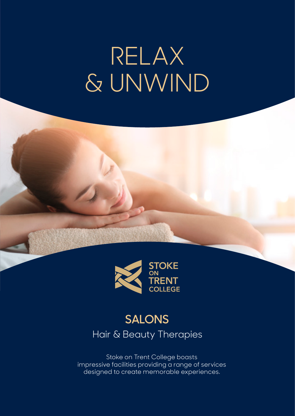## RELAX & UNWIND



## **SALONS** Hair & Beauty Therapies

Stoke on Trent College boasts impressive facilities providing a range of services designed to create memorable experiences.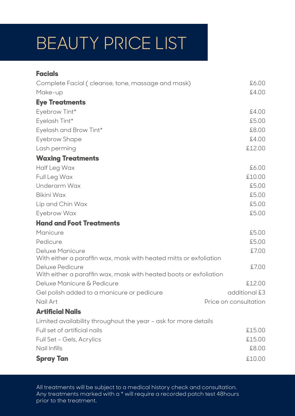## BEAUTY PRICE LIST

| <b>Facials</b>                                                                       |                       |
|--------------------------------------------------------------------------------------|-----------------------|
| Complete Facial (cleanse, tone, massage and mask)                                    | 6.00                  |
| Make-up                                                                              | £4.00                 |
| <b>Eye Treatments</b>                                                                |                       |
| Eyebrow Tint*                                                                        | £4.00                 |
| Eyelash Tint*                                                                        | £5.00                 |
| Eyelash and Brow Tint*                                                               | £8.00                 |
| <b>Eyebrow Shape</b>                                                                 | £4.00                 |
| Lash perming                                                                         | £12.00                |
| <b>Waxing Treatments</b>                                                             |                       |
| Half Leg Wax                                                                         | £6.00                 |
| Full Leg Wax                                                                         | £10.00                |
| Underarm Wax                                                                         | £5.00                 |
| <b>Bikini Wax</b>                                                                    | £5.00                 |
| Lip and Chin Wax                                                                     | £5.00                 |
| Eyebrow Wax                                                                          | £5.00                 |
| <b>Hand and Foot Treatments</b>                                                      |                       |
| Manicure                                                                             | £5.00                 |
| Pedicure                                                                             | £5.00                 |
| Deluxe Manicure<br>With either a paraffin wax, mask with heated mitts or exfoliation | £7.00                 |
| Deluxe Pedicure                                                                      | £7.00                 |
| With either a paraffin wax, mask with heated boots or exfoliation                    |                       |
| Deluxe Manicure & Pedicure                                                           | £12.00                |
| Gel polish added to a manicure or pedicure                                           | additional £3         |
| Nail Art                                                                             | Price on consultation |
| <b>Artificial Nails</b>                                                              |                       |
| Limited availability throughout the year - ask for more details                      |                       |
| Full set of artificial nails                                                         | £15.00                |
| Full Set - Gels, Acrylics                                                            | £15.00                |
| Nail Infills                                                                         | £8.00                 |
| <b>Spray Tan</b>                                                                     | £10.00                |

All treatments will be subject to a medical history check and consultation. Any treatments marked with a \* will require a recorded patch test 48 hours prior to the treatment.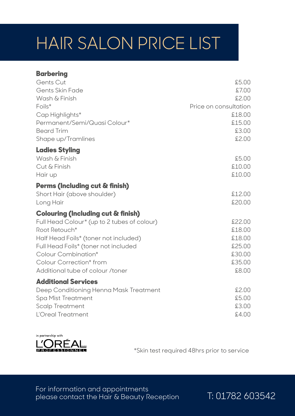## HAIR SALON PRICE LIST

| <b>Barbering</b>                              |                       |
|-----------------------------------------------|-----------------------|
| Gents Cut                                     | £5.00                 |
| Gents Skin Fade                               | £7.00                 |
| Wash & Finish                                 | £2.00                 |
| $F \circ i's^*$                               | Price on consultation |
| Cap Highlights*                               | £18.00                |
| Permanent/Semi/Quasi Colour*                  | £15.00                |
| <b>Beard Trim</b>                             | £3.00                 |
| Shape up/Tramlines                            | £2.00                 |
| <b>Ladies Styling</b>                         |                       |
| Wash & Finish                                 | £5.00                 |
| Cut & Finish                                  | £10.00                |
| Hair up                                       | £10.00                |
| Perms (Including cut & finish)                |                       |
| Short Hair (above shoulder)                   | £12.00                |
| Long Hair                                     | £20,00                |
| <b>Colouring (Including cut &amp; finish)</b> |                       |
| Full Head Colour* (up to 2 tubes of colour)   | £22.00                |
| Root Retouch*                                 | £18.00                |
| Half Head Foils* (toner not included)         | £18.00                |
| Full Head Foils* (toner not included          | £25.00                |
| Colour Combination*                           | £30.00                |
| Colour Correction* from                       | £35.00                |
| Additional tube of colour /toner              | £8.00                 |
| <b>Additional Services</b>                    |                       |
| Deep Conditioning Henna Mask Treatment        | £2.00                 |
| Spa Mist Treatment                            | £5.00                 |
| Scalp Treatment                               | £3.00                 |
| L'Oreal Treatment                             | £4.00                 |



\*Skin test required 48hrs prior to service

For information and appointments please contact the Hair & Beauty Reception T: 01782 603542